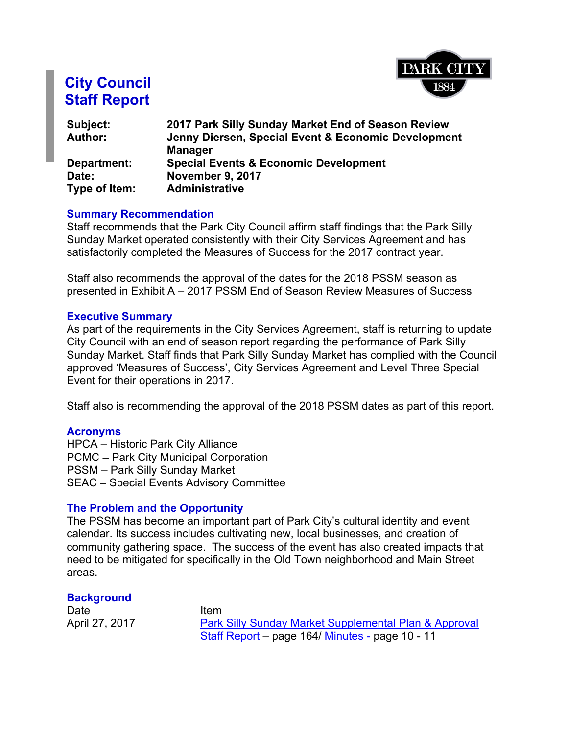

# **City Council Staff Report**

| Subject:       | 2017 Park Silly Sunday Market End of Season Review  |
|----------------|-----------------------------------------------------|
| <b>Author:</b> | Jenny Diersen, Special Event & Economic Development |
|                | <b>Manager</b>                                      |
| Department:    | <b>Special Events &amp; Economic Development</b>    |
| Date:          | November 9, 2017                                    |
| Type of Item:  | <b>Administrative</b>                               |

#### **Summary Recommendation**

Staff recommends that the Park City Council affirm staff findings that the Park Silly Sunday Market operated consistently with their City Services Agreement and has satisfactorily completed the Measures of Success for the 2017 contract year.

Staff also recommends the approval of the dates for the 2018 PSSM season as presented in Exhibit A – 2017 PSSM End of Season Review Measures of Success

#### **Executive Summary**

As part of the requirements in the City Services Agreement, staff is returning to update City Council with an end of season report regarding the performance of Park Silly Sunday Market. Staff finds that Park Silly Sunday Market has complied with the Council approved 'Measures of Success', City Services Agreement and Level Three Special Event for their operations in 2017.

Staff also is recommending the approval of the 2018 PSSM dates as part of this report.

#### **Acronyms**

HPCA – Historic Park City Alliance PCMC – Park City Municipal Corporation PSSM – Park Silly Sunday Market SEAC – Special Events Advisory Committee

## **The Problem and the Opportunity**

The PSSM has become an important part of Park City's cultural identity and event calendar. Its success includes cultivating new, local businesses, and creation of community gathering space. The success of the event has also created impacts that need to be mitigated for specifically in the Old Town neighborhood and Main Street areas.

## **Background**

Date Item

April 27, 2017 **[Park](http://parkcityut.iqm2.com/Citizens/FileOpen.aspx?Type=1&ID=2248&Inline=True) [Silly](http://parkcityut.iqm2.com/Citizens/FileOpen.aspx?Type=1&ID=2248&Inline=True) [Sunday](http://parkcityut.iqm2.com/Citizens/FileOpen.aspx?Type=1&ID=2248&Inline=True) [Market](http://parkcityut.iqm2.com/Citizens/FileOpen.aspx?Type=1&ID=2248&Inline=True) [Supplemental](http://parkcityut.iqm2.com/Citizens/FileOpen.aspx?Type=1&ID=2248&Inline=True) [Plan](http://parkcityut.iqm2.com/Citizens/FileOpen.aspx?Type=1&ID=2248&Inline=True) [&](http://parkcityut.iqm2.com/Citizens/FileOpen.aspx?Type=1&ID=2248&Inline=True) [Approval](http://parkcityut.iqm2.com/Citizens/FileOpen.aspx?Type=1&ID=2248&Inline=True)** [Staff](http://parkcityut.iqm2.com/Citizens/FileOpen.aspx?Type=1&ID=2248&Inline=True) [Report](http://parkcityut.iqm2.com/Citizens/FileOpen.aspx?Type=1&ID=2248&Inline=True) – page 164/ [Minutes](http://parkcityut.iqm2.com/Citizens/FileOpen.aspx?Type=12&ID=1918&Inline=True) [-](http://parkcityut.iqm2.com/Citizens/FileOpen.aspx?Type=12&ID=1918&Inline=True) page 10 - 11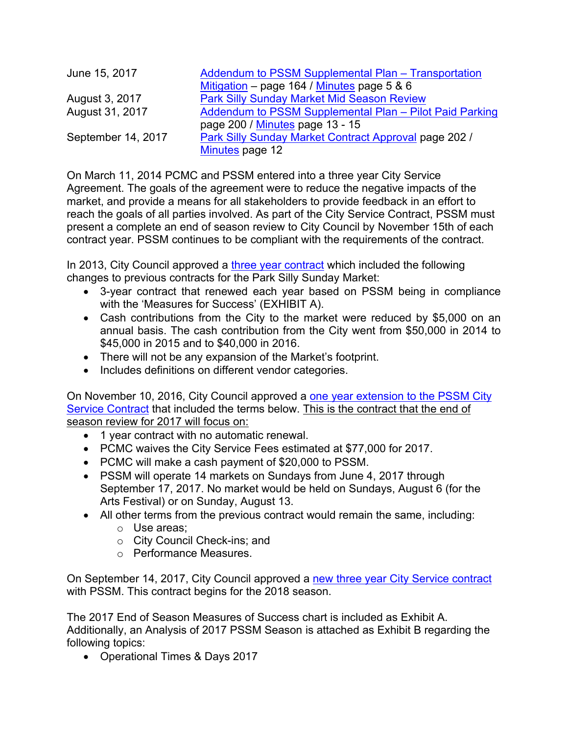| June 15, 2017      | Addendum to PSSM Supplemental Plan - Transportation     |
|--------------------|---------------------------------------------------------|
|                    | Mitigation – page 164 / Minutes page 5 & 6              |
| August 3, 2017     | <b>Park Silly Sunday Market Mid Season Review</b>       |
| August 31, 2017    | Addendum to PSSM Supplemental Plan - Pilot Paid Parking |
|                    | page 200 / Minutes page 13 - 15                         |
| September 14, 2017 | Park Silly Sunday Market Contract Approval page 202 /   |
|                    | Minutes page 12                                         |

On March 11, 2014 PCMC and PSSM entered into a three year City Service Agreement. The goals of the agreement were to reduce the negative impacts of the market, and provide a means for all stakeholders to provide feedback in an effort to reach the goals of all parties involved. As part of the City Service Contract, PSSM must present a complete an end of season review to City Council by November 15th of each contract year. PSSM continues to be compliant with the requirements of the contract.

In 2013, City Council approved a [three](http://www.parkcity.org/Home/ShowDocument?id=46935) [year](http://www.parkcity.org/Home/ShowDocument?id=46935) [contract](http://www.parkcity.org/Home/ShowDocument?id=46935) which included the following changes to previous contracts for the Park Silly Sunday Market:

- 3-year contract that renewed each year based on PSSM being in compliance with the 'Measures for Success' (EXHIBIT A).
- Cash contributions from the City to the market were reduced by \$5,000 on an annual basis. The cash contribution from the City went from \$50,000 in 2014 to \$45,000 in 2015 and to \$40,000 in 2016.
- There will not be any expansion of the Market's footprint.
- Includes definitions on different vendor categories.

On November 10, 2016, City Council approved a [one](http://www.parkcity.org/Home/ShowDocument?id=46937) [year](http://www.parkcity.org/Home/ShowDocument?id=46937) [extension](http://www.parkcity.org/Home/ShowDocument?id=46937) [to](http://www.parkcity.org/Home/ShowDocument?id=46937) [the](http://www.parkcity.org/Home/ShowDocument?id=46937) [PSSM](http://www.parkcity.org/Home/ShowDocument?id=46937) [City](http://www.parkcity.org/Home/ShowDocument?id=46937) [Service](http://www.parkcity.org/Home/ShowDocument?id=46937) [Contract](http://www.parkcity.org/Home/ShowDocument?id=46937) that included the terms below. This is the contract that the end of season review for 2017 will focus on:

- 1 year contract with no automatic renewal.
- PCMC waives the City Service Fees estimated at \$77,000 for 2017.
- PCMC will make a cash payment of \$20,000 to PSSM.
- PSSM will operate 14 markets on Sundays from June 4, 2017 through September 17, 2017. No market would be held on Sundays, August 6 (for the Arts Festival) or on Sunday, August 13.
- All other terms from the previous contract would remain the same, including:
	- o Use areas;
	- o City Council Check-ins; and
	- o Performance Measures.

On September 14, 2017, City Council approved a [new](http://www.parkcity.org/Home/ShowDocument?id=46933) [three](http://www.parkcity.org/Home/ShowDocument?id=46933) [year](http://www.parkcity.org/Home/ShowDocument?id=46933) [City](http://www.parkcity.org/Home/ShowDocument?id=46933) [Service](http://www.parkcity.org/Home/ShowDocument?id=46933) [contract](http://www.parkcity.org/Home/ShowDocument?id=46933) with PSSM. This contract begins for the 2018 season.

The 2017 End of Season Measures of Success chart is included as Exhibit A. Additionally, an Analysis of 2017 PSSM Season is attached as Exhibit B regarding the following topics:

• Operational Times & Days 2017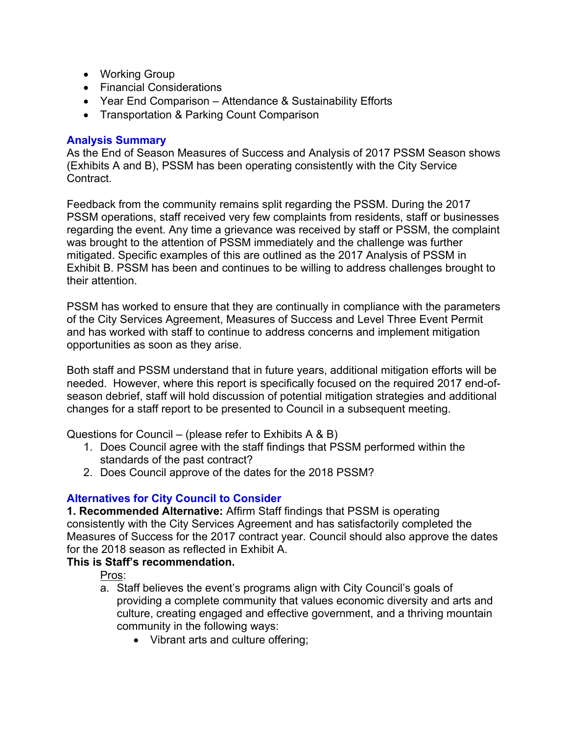- Working Group
- Financial Considerations
- Year End Comparison Attendance & Sustainability Efforts
- Transportation & Parking Count Comparison

## **Analysis Summary**

As the End of Season Measures of Success and Analysis of 2017 PSSM Season shows (Exhibits A and B), PSSM has been operating consistently with the City Service Contract.

Feedback from the community remains split regarding the PSSM. During the 2017 PSSM operations, staff received very few complaints from residents, staff or businesses regarding the event. Any time a grievance was received by staff or PSSM, the complaint was brought to the attention of PSSM immediately and the challenge was further mitigated. Specific examples of this are outlined as the 2017 Analysis of PSSM in Exhibit B. PSSM has been and continues to be willing to address challenges brought to their attention.

PSSM has worked to ensure that they are continually in compliance with the parameters of the City Services Agreement, Measures of Success and Level Three Event Permit and has worked with staff to continue to address concerns and implement mitigation opportunities as soon as they arise.

Both staff and PSSM understand that in future years, additional mitigation efforts will be needed. However, where this report is specifically focused on the required 2017 end-ofseason debrief, staff will hold discussion of potential mitigation strategies and additional changes for a staff report to be presented to Council in a subsequent meeting.

Questions for Council – (please refer to Exhibits A & B)

- 1. Does Council agree with the staff findings that PSSM performed within the standards of the past contract?
- 2. Does Council approve of the dates for the 2018 PSSM?

## **Alternatives for City Council to Consider**

**1. Recommended Alternative:** Affirm Staff findings that PSSM is operating consistently with the City Services Agreement and has satisfactorily completed the Measures of Success for the 2017 contract year. Council should also approve the dates for the 2018 season as reflected in Exhibit A.

## **This is Staff's recommendation.**

Pros:

- a. Staff believes the event's programs align with City Council's goals of providing a complete community that values economic diversity and arts and culture, creating engaged and effective government, and a thriving mountain community in the following ways:
	- Vibrant arts and culture offering;